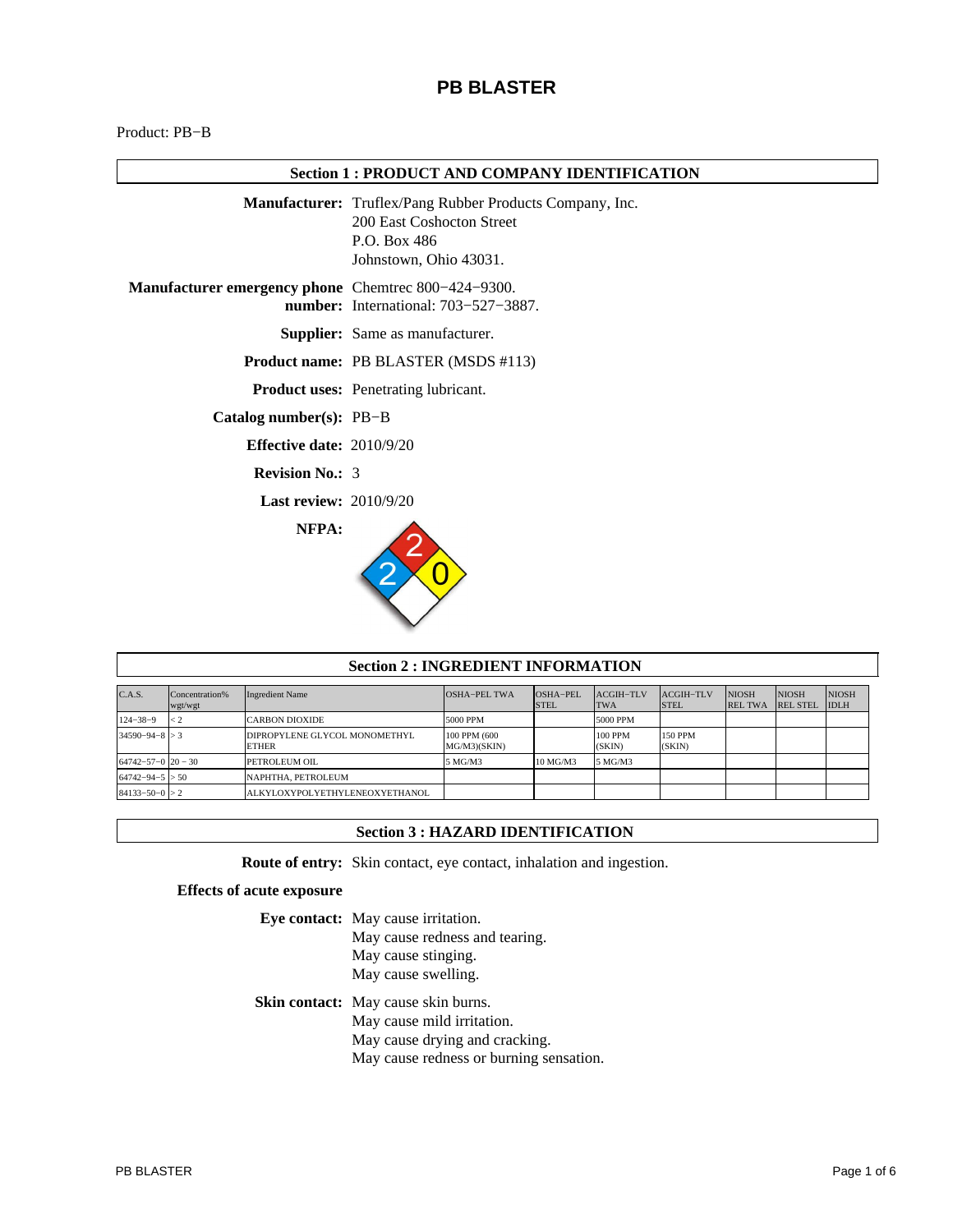# **PB BLASTER**

Product: PB−B

# **Section 1 : PRODUCT AND COMPANY IDENTIFICATION**

|                                                            | <b>Manufacturer:</b> Truflex/Pang Rubber Products Company, Inc.<br>200 East Coshocton Street<br>P.O. Box 486<br>Johnstown, Ohio 43031. |
|------------------------------------------------------------|----------------------------------------------------------------------------------------------------------------------------------------|
| <b>Manufacturer emergency phone</b> Chemtrec 800-424-9300. | <b>number:</b> International: 703–527–3887.                                                                                            |
|                                                            | <b>Supplier:</b> Same as manufacturer.                                                                                                 |
|                                                            | <b>Product name: PB BLASTER (MSDS #113)</b>                                                                                            |
|                                                            | <b>Product uses:</b> Penetrating lubricant.                                                                                            |
| Catalog number(s): PB-B                                    |                                                                                                                                        |
| <b>Effective date:</b> $2010/9/20$                         |                                                                                                                                        |
| <b>Revision No.: 3</b>                                     |                                                                                                                                        |
| <b>Last review: 2010/9/20</b>                              |                                                                                                                                        |
| NFPA:                                                      |                                                                                                                                        |

| <b>Section 2 : INGREDIENT INFORMATION</b> |                           |                                               |                               |                         |                          |                          |                                |                                 |                             |
|-------------------------------------------|---------------------------|-----------------------------------------------|-------------------------------|-------------------------|--------------------------|--------------------------|--------------------------------|---------------------------------|-----------------------------|
| C.A.S.                                    | Concentration%<br>wgt/wgt | <b>Ingredient Name</b>                        | OSHA-PEL TWA                  | OSHA-PEI<br><b>STEL</b> | ACGIH-TLV<br><b>TWA</b>  | ACGIH-TLV<br><b>STEL</b> | <b>NIOSH</b><br><b>REL TWA</b> | <b>NIOSH</b><br><b>REL STEL</b> | <b>NIOSH</b><br><b>IDLH</b> |
| $124 - 38 - 9$                            | < 2                       | <b>CARBON DIOXIDE</b>                         | 5000 PPM                      |                         | 5000 PPM                 |                          |                                |                                 |                             |
| $34590 - 94 - 8 > 3$                      |                           | DIPROPYLENE GLYCOL MONOMETHYL<br><b>ETHER</b> | 100 PPM (600)<br>MG/M3)(SKIN) |                         | <b>100 PPM</b><br>(SKIN) | <b>150 PPM</b><br>(SKIN) |                                |                                 |                             |
| $64742 - 57 - 0$ $20 - 30$                |                           | PETROLEUM OIL                                 | 5 MG/M3                       | 10 MG/M3                | 5 MG/M3                  |                          |                                |                                 |                             |
| $64742 - 94 - 5 > 50$                     |                           | NAPHTHA. PETROLEUM                            |                               |                         |                          |                          |                                |                                 |                             |
| $84133 - 50 - 0 > 2$                      |                           | ALKYLOXYPOLYETHYLENEOXYETHANOL                |                               |                         |                          |                          |                                |                                 |                             |

## **Section 3 : HAZARD IDENTIFICATION**

**Route of entry:** Skin contact, eye contact, inhalation and ingestion.

# **Effects of acute exposure**

| Eye contact: May cause irritation.         |
|--------------------------------------------|
| May cause redness and tearing.             |
| May cause stinging.                        |
| May cause swelling.                        |
|                                            |
| <b>Skin contact:</b> May cause skin burns. |
| May cause mild irritation.                 |
| May cause drying and cracking.             |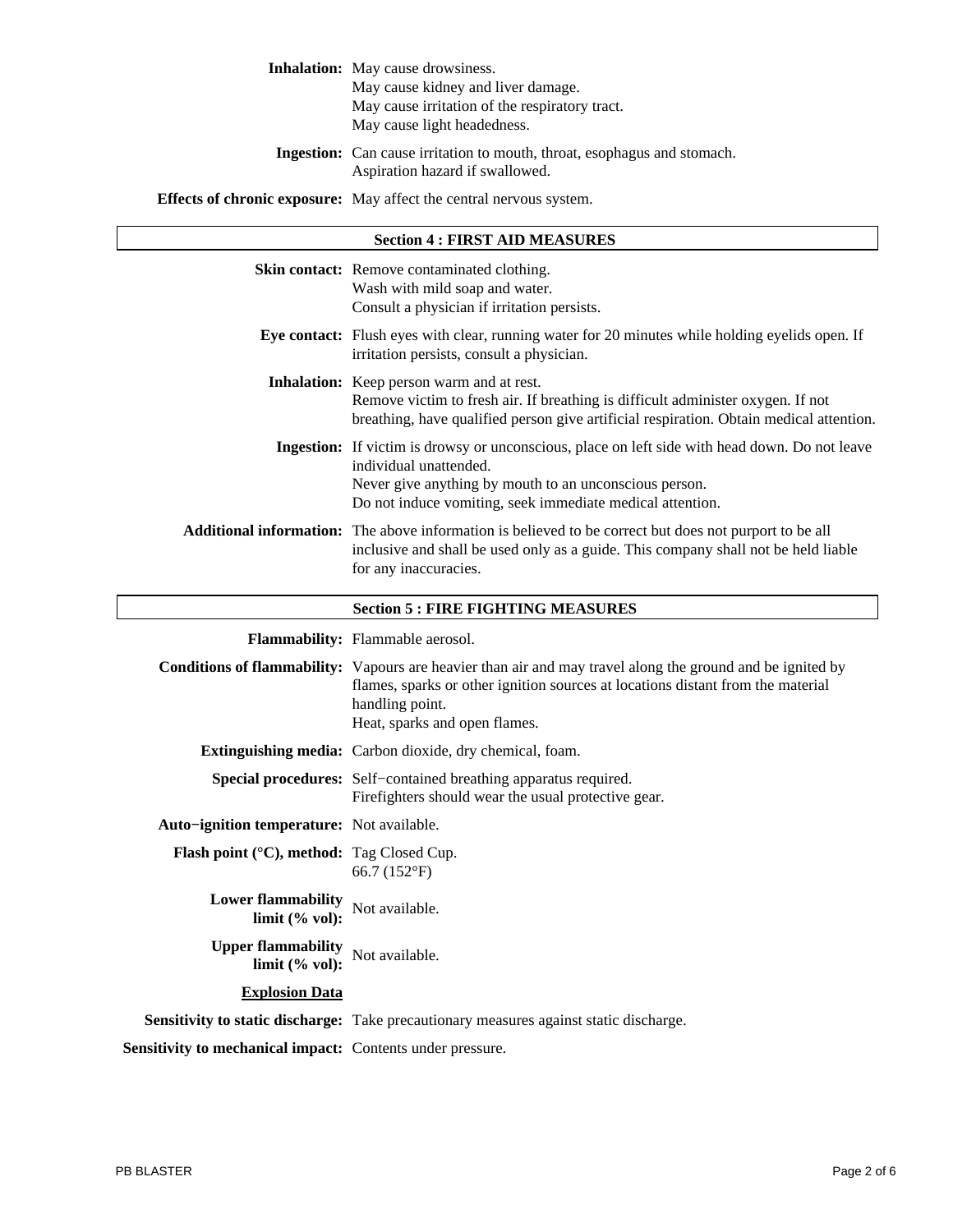# **Inhalation:** May cause drowsiness.

May cause kidney and liver damage.

May cause irritation of the respiratory tract.

May cause light headedness.

**Ingestion:** Can cause irritation to mouth, throat, esophagus and stomach. Aspiration hazard if swallowed.

**Effects of chronic exposure:** May affect the central nervous system.

| <b>Section 4 : FIRST AID MEASURES</b>                                     |                                                                                                                                                                                                                                                          |  |
|---------------------------------------------------------------------------|----------------------------------------------------------------------------------------------------------------------------------------------------------------------------------------------------------------------------------------------------------|--|
|                                                                           | Skin contact: Remove contaminated clothing.<br>Wash with mild soap and water.<br>Consult a physician if irritation persists.                                                                                                                             |  |
|                                                                           | Eye contact: Flush eyes with clear, running water for 20 minutes while holding eyelids open. If<br>irritation persists, consult a physician.                                                                                                             |  |
|                                                                           | <b>Inhalation:</b> Keep person warm and at rest.<br>Remove victim to fresh air. If breathing is difficult administer oxygen. If not<br>breathing, have qualified person give artificial respiration. Obtain medical attention.                           |  |
|                                                                           | Ingestion: If victim is drowsy or unconscious, place on left side with head down. Do not leave<br>individual unattended.<br>Never give anything by mouth to an unconscious person.<br>Do not induce vomiting, seek immediate medical attention.          |  |
|                                                                           | Additional information: The above information is believed to be correct but does not purport to be all<br>inclusive and shall be used only as a guide. This company shall not be held liable<br>for any inaccuracies.                                    |  |
|                                                                           | <b>Section 5 : FIRE FIGHTING MEASURES</b>                                                                                                                                                                                                                |  |
|                                                                           | Flammability: Flammable aerosol.                                                                                                                                                                                                                         |  |
|                                                                           | <b>Conditions of flammability:</b> Vapours are heavier than air and may travel along the ground and be ignited by<br>flames, sparks or other ignition sources at locations distant from the material<br>handling point.<br>Heat, sparks and open flames. |  |
|                                                                           | <b>Extinguishing media:</b> Carbon dioxide, dry chemical, foam.                                                                                                                                                                                          |  |
|                                                                           | Special procedures: Self-contained breathing apparatus required.<br>Firefighters should wear the usual protective gear.                                                                                                                                  |  |
| Auto-ignition temperature: Not available.                                 |                                                                                                                                                                                                                                                          |  |
| Flash point (°C), method: Tag Closed Cup.                                 | 66.7 (152°F)                                                                                                                                                                                                                                             |  |
| <b>Lower flammability</b><br>limit $(% \mathcal{O}_{0}, \mathcal{O}_{1})$ | Not available.                                                                                                                                                                                                                                           |  |
| <b>Upper flammability</b><br>limit $(% \mathcal{O}_{0}$ vol):             | Not available.                                                                                                                                                                                                                                           |  |
| <b>Explosion Data</b>                                                     |                                                                                                                                                                                                                                                          |  |
|                                                                           | Sensitivity to static discharge: Take precautionary measures against static discharge.                                                                                                                                                                   |  |
| Sensitivity to mechanical impact: Contents under pressure.                |                                                                                                                                                                                                                                                          |  |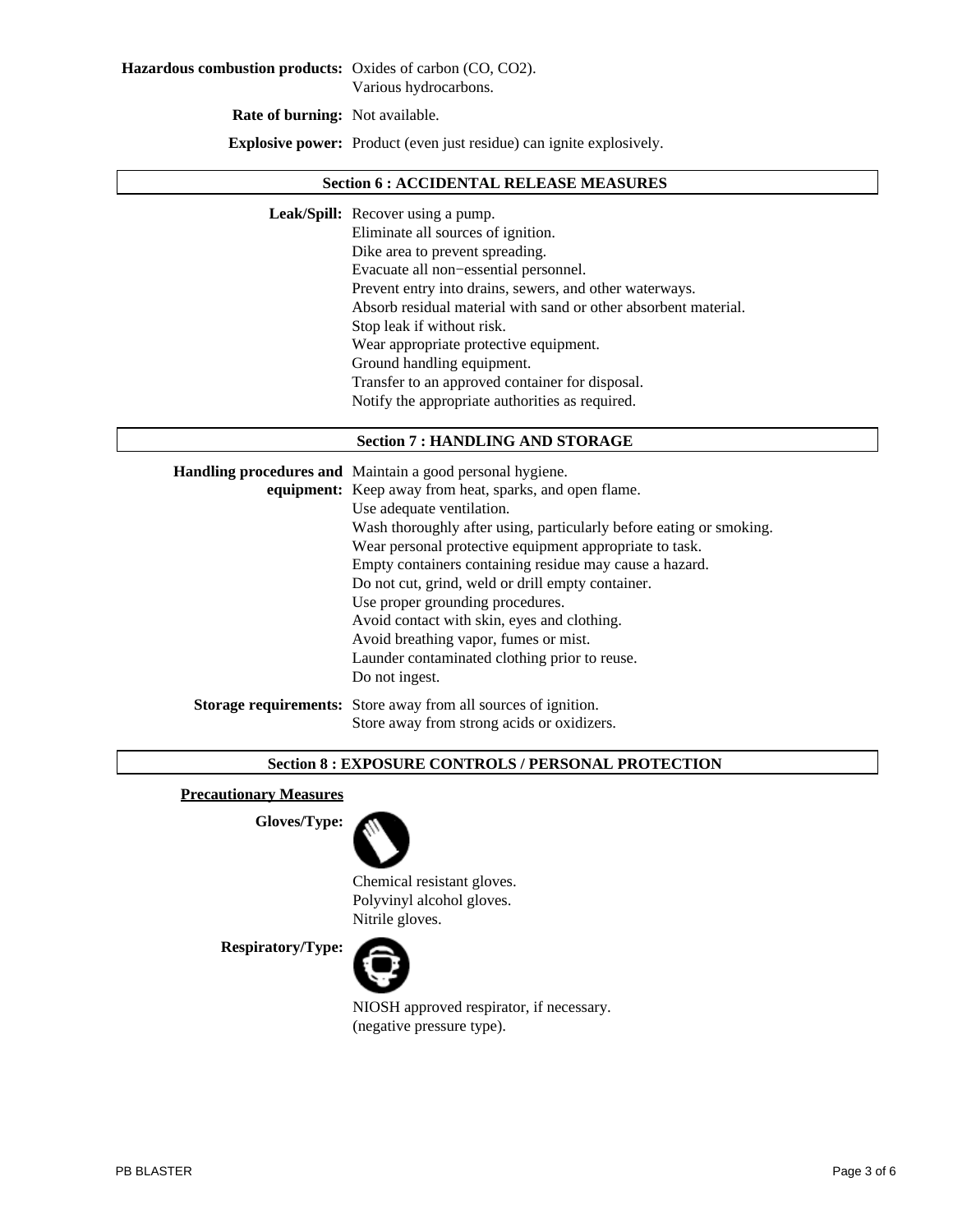**Rate of burning:** Not available.

**Explosive power:** Product (even just residue) can ignite explosively.

#### **Section 6 : ACCIDENTAL RELEASE MEASURES**

**Leak/Spill:** Recover using a pump.

Eliminate all sources of ignition. Dike area to prevent spreading. Evacuate all non−essential personnel. Prevent entry into drains, sewers, and other waterways. Absorb residual material with sand or other absorbent material. Stop leak if without risk. Wear appropriate protective equipment. Ground handling equipment. Transfer to an approved container for disposal. Notify the appropriate authorities as required.

### **Section 7 : HANDLING AND STORAGE**

| Handling procedures and Maintain a good personal hygiene.             |  |
|-----------------------------------------------------------------------|--|
| equipment: Keep away from heat, sparks, and open flame.               |  |
| Use adequate ventilation.                                             |  |
| Wash thoroughly after using, particularly before eating or smoking.   |  |
| Wear personal protective equipment appropriate to task.               |  |
| Empty containers containing residue may cause a hazard.               |  |
| Do not cut, grind, weld or drill empty container.                     |  |
| Use proper grounding procedures.                                      |  |
| Avoid contact with skin, eyes and clothing.                           |  |
| Avoid breathing vapor, fumes or mist.                                 |  |
| Launder contaminated clothing prior to reuse.                         |  |
| Do not ingest.                                                        |  |
| <b>Storage requirements:</b> Store away from all sources of ignition. |  |
| Store away from strong acids or oxidizers.                            |  |

### **Section 8 : EXPOSURE CONTROLS / PERSONAL PROTECTION**

## **Precautionary Measures**

**Gloves/Type:**



Chemical resistant gloves. Polyvinyl alcohol gloves. Nitrile gloves.

**Respiratory/Type:**



NIOSH approved respirator, if necessary. (negative pressure type).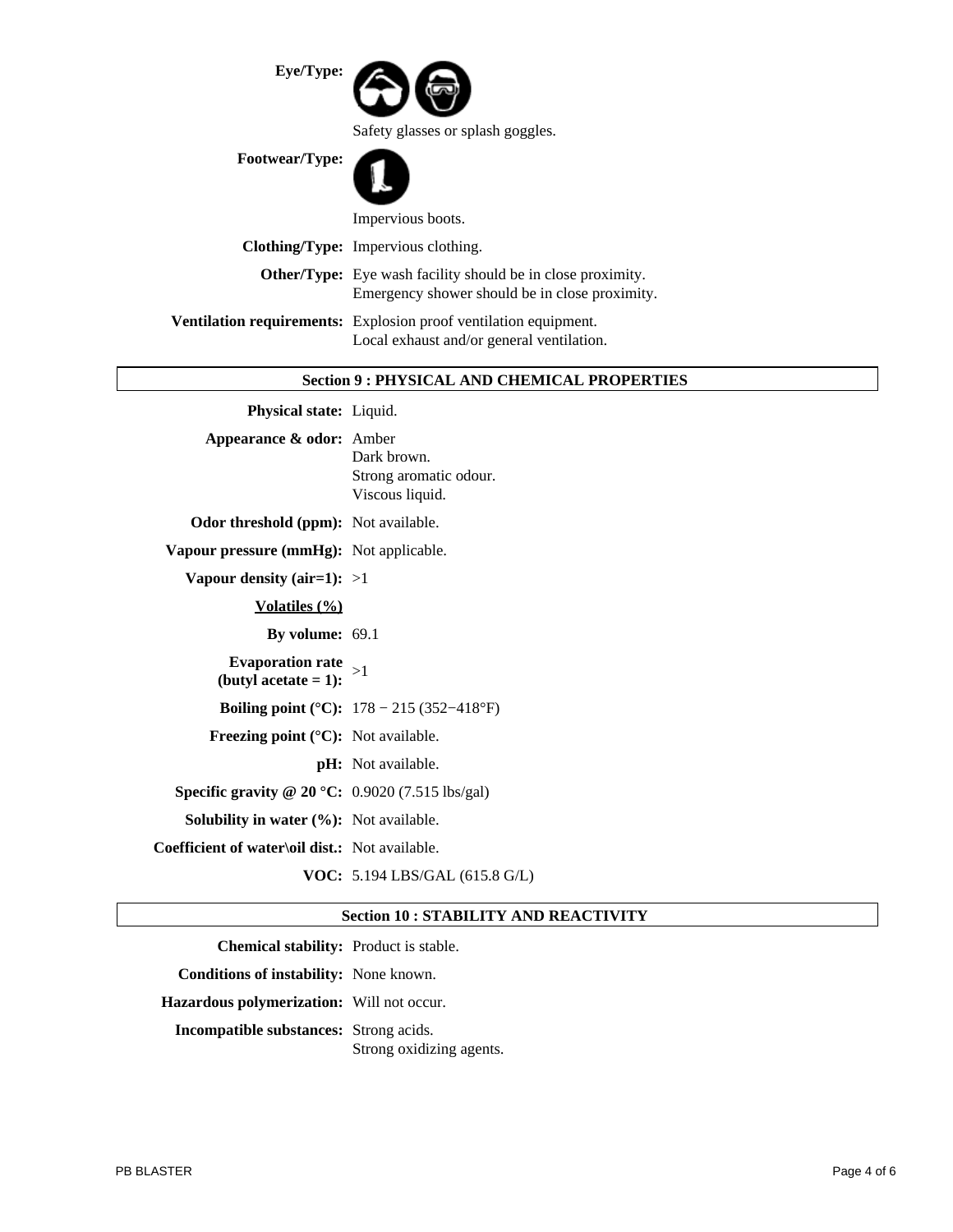| Eye/Type:      |                                                                                                                      |
|----------------|----------------------------------------------------------------------------------------------------------------------|
|                | Safety glasses or splash goggles.                                                                                    |
| Footwear/Type: |                                                                                                                      |
|                | Impervious boots.                                                                                                    |
|                | <b>Clothing/Type:</b> Impervious clothing.                                                                           |
|                | <b>Other/Type:</b> Eye wash facility should be in close proximity.<br>Emergency shower should be in close proximity. |
|                | Ventilation requirements: Explosion proof ventilation equipment.<br>Local exhaust and/or general ventilation.        |
|                |                                                                                                                      |

# **Section 9 : PHYSICAL AND CHEMICAL PROPERTIES**

| Physical state: Liquid.                                        |                                                          |
|----------------------------------------------------------------|----------------------------------------------------------|
| Appearance & odor: Amber                                       | Dark brown.<br>Strong aromatic odour.<br>Viscous liquid. |
| <b>Odor threshold (ppm):</b> Not available.                    |                                                          |
| Vapour pressure (mmHg): Not applicable.                        |                                                          |
| Vapour density (air=1): $>1$                                   |                                                          |
| <u>Volatiles (%)</u>                                           |                                                          |
| By volume: 69.1                                                |                                                          |
| <b>Evaporation rate</b><br>(butyl acetate $= 1$ ):             | >1                                                       |
|                                                                | <b>Boiling point (°C):</b> $178 - 215 (352 - 418$ °F)    |
| <b>Freezing point (<math>^{\circ}</math>C):</b> Not available. |                                                          |
|                                                                | pH: Not available.                                       |
| Specific gravity @ $20 °C$ : 0.9020 (7.515 lbs/gal)            |                                                          |
| <b>Solubility in water <math>(\%)</math>:</b> Not available.   |                                                          |
| Coefficient of water\oil dist.: Not available.                 |                                                          |
|                                                                | VOC: 5.194 LBS/GAL (615.8 G/L)                           |

# **Section 10 : STABILITY AND REACTIVITY**

| <b>Chemical stability:</b> Product is stable. |                          |
|-----------------------------------------------|--------------------------|
| Conditions of instability: None known.        |                          |
| Hazardous polymerization: Will not occur.     |                          |
| <b>Incompatible substances:</b> Strong acids. |                          |
|                                               | Strong oxidizing agents. |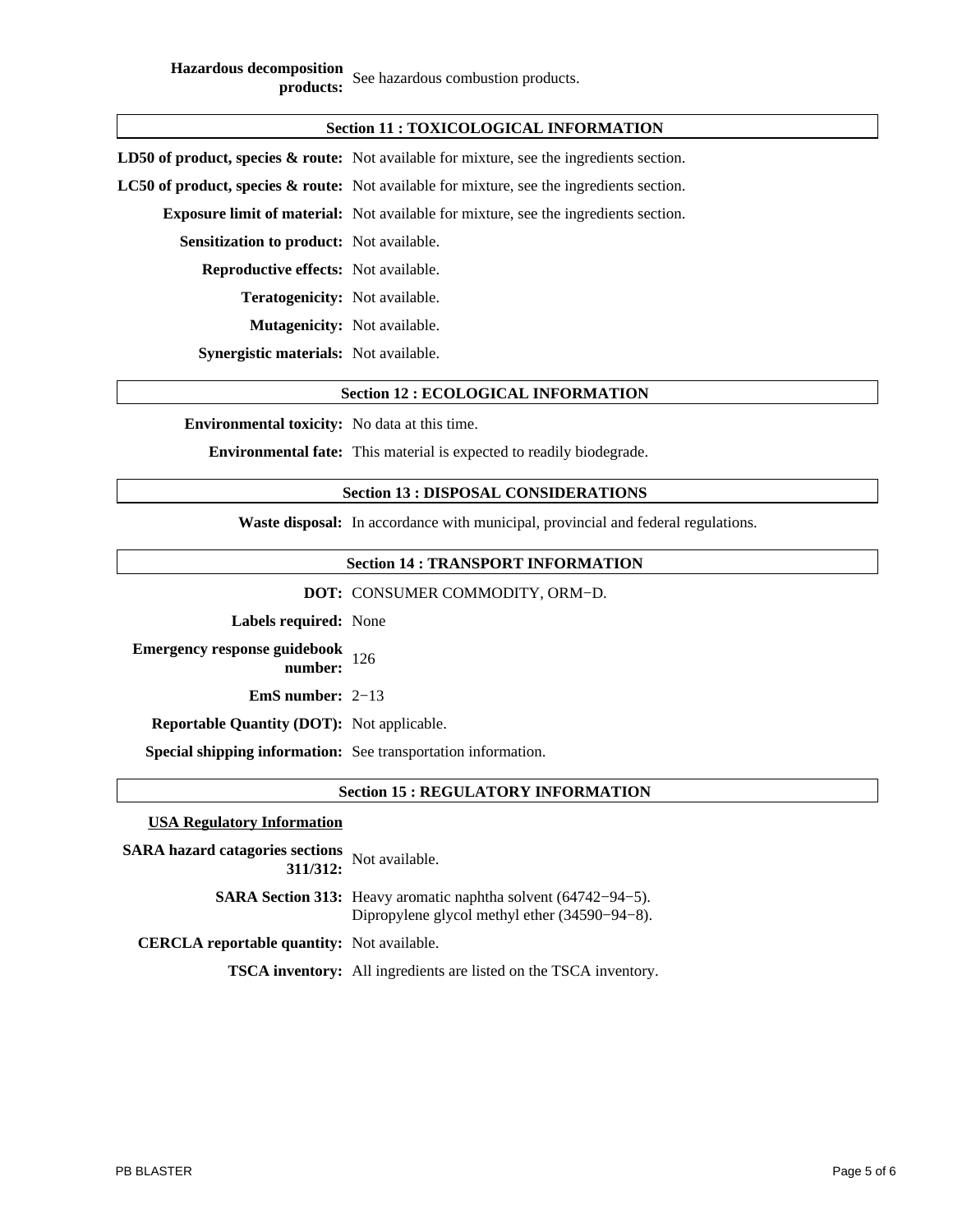**Hazardous decomposition products:** See hazardous combustion products.

| <b>Section 11: TOXICOLOGICAL INFORMATION</b>    |                                                                                                      |  |  |
|-------------------------------------------------|------------------------------------------------------------------------------------------------------|--|--|
|                                                 | <b>LD50 of product, species &amp; route:</b> Not available for mixture, see the ingredients section. |  |  |
|                                                 | <b>LC50 of product, species &amp; route:</b> Not available for mixture, see the ingredients section. |  |  |
|                                                 | <b>Exposure limit of material:</b> Not available for mixture, see the ingredients section.           |  |  |
| <b>Sensitization to product:</b> Not available. |                                                                                                      |  |  |
| <b>Reproductive effects:</b> Not available.     |                                                                                                      |  |  |
| <b>Teratogenicity:</b> Not available.           |                                                                                                      |  |  |
| <b>Mutagenicity:</b> Not available.             |                                                                                                      |  |  |
| <b>Synergistic materials:</b> Not available.    |                                                                                                      |  |  |

### **Section 12 : ECOLOGICAL INFORMATION**

**Environmental toxicity:** No data at this time.

**Environmental fate:** This material is expected to readily biodegrade.

### **Section 13 : DISPOSAL CONSIDERATIONS**

**Waste disposal:** In accordance with municipal, provincial and federal regulations.

### **Section 14 : TRANSPORT INFORMATION**

**DOT:** CONSUMER COMMODITY, ORM−D.

**Labels required:** None

**Emergency response guidebook number:** <sup>126</sup>

**EmS number:** 2−13

**Reportable Quantity (DOT):** Not applicable.

**Special shipping information:** See transportation information.

### **Section 15 : REGULATORY INFORMATION**

### **USA Regulatory Information**

| SARA hazard catagories sections<br>311/312: Not available. |                                                                                                                           |
|------------------------------------------------------------|---------------------------------------------------------------------------------------------------------------------------|
|                                                            | <b>SARA Section 313:</b> Heavy aromatic naphtha solvent (64742–94–5).<br>Dipropylene glycol methyl ether $(34590-94-8)$ . |
| <b>CERCLA reportable quantity:</b> Not available.          |                                                                                                                           |
|                                                            |                                                                                                                           |

**TSCA inventory:** All ingredients are listed on the TSCA inventory.